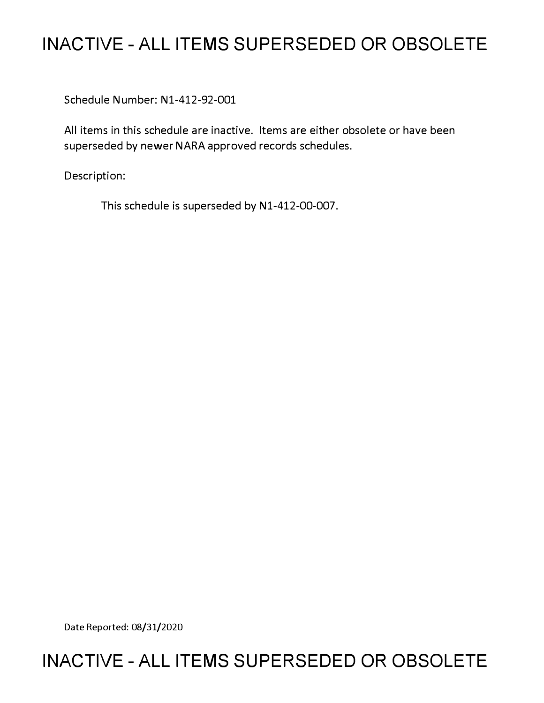# **INACTIVE - ALL ITEMS SUPERSEDED OR OBSOLETE**

Schedule Number: Nl-412-92-001

All items in this schedule are inactive. Items are either obsolete or have been superseded by newer NARA approved records schedules.

Description:

This schedule is superseded by Nl-412-00-007.

Date Reported: 08/31/2020

# **INACTIVE - ALL ITEMS SUPERSEDED OR OBSOLETE**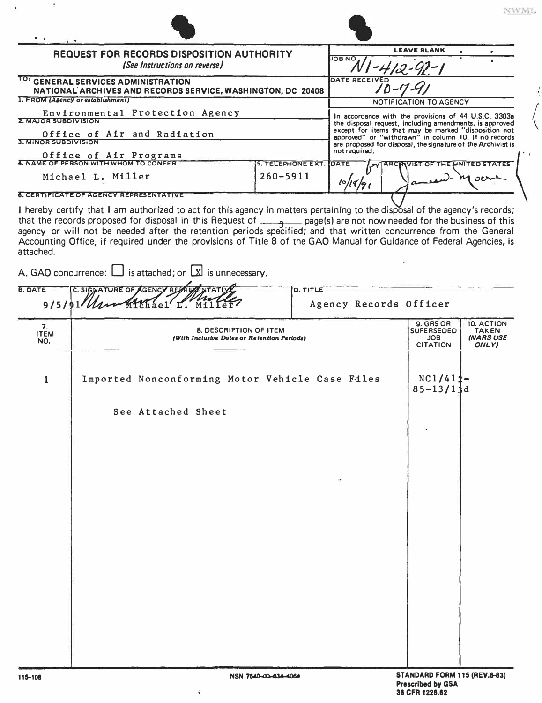| <b>REQUEST FOR RECORDS DISPOSITION AUTHORITY</b><br>(See Instructions on reverse)<br>TO:                                                   |                                                                                                                                                                                                                                                                                                                                                                                                                                                                                        |                      |                          | <b>LEAVE BLANK</b><br>JOB NO.                                                  |                                                                                                                                                                         |                                                          |                                                              |
|--------------------------------------------------------------------------------------------------------------------------------------------|----------------------------------------------------------------------------------------------------------------------------------------------------------------------------------------------------------------------------------------------------------------------------------------------------------------------------------------------------------------------------------------------------------------------------------------------------------------------------------------|----------------------|--------------------------|--------------------------------------------------------------------------------|-------------------------------------------------------------------------------------------------------------------------------------------------------------------------|----------------------------------------------------------|--------------------------------------------------------------|
|                                                                                                                                            |                                                                                                                                                                                                                                                                                                                                                                                                                                                                                        |                      |                          | DATE RECEIVED                                                                  |                                                                                                                                                                         |                                                          |                                                              |
| <b>GENERAL SERVICES ADMINISTRATION</b><br>NATIONAL ARCHIVES AND RECORDS SERVICE, WASHINGTON, DC 20408<br>1. FROM (Agency or establishment) |                                                                                                                                                                                                                                                                                                                                                                                                                                                                                        |                      |                          |                                                                                |                                                                                                                                                                         |                                                          |                                                              |
| Environmental Protection Agency                                                                                                            |                                                                                                                                                                                                                                                                                                                                                                                                                                                                                        |                      |                          | NOTIFICATION TO AGENCY<br>In accordance with the provisions of 44 U.S.C. 3303a |                                                                                                                                                                         |                                                          |                                                              |
| 2. MAJOR SUBDIVISION                                                                                                                       |                                                                                                                                                                                                                                                                                                                                                                                                                                                                                        |                      |                          |                                                                                | the disposal request, including amendments, is approved<br>except for items that may be marked "disposition not<br>approved" or "withdrawn" in column 10. If no records |                                                          |                                                              |
| Office of Air and Radiation<br>3. MINOR SUBDIVISION                                                                                        |                                                                                                                                                                                                                                                                                                                                                                                                                                                                                        |                      |                          |                                                                                |                                                                                                                                                                         |                                                          | are proposed for disposal, the signature of the Archivist is |
|                                                                                                                                            | Office of Air Programs<br>4. NAME OF PERSON WITH WHOM TO CONFER                                                                                                                                                                                                                                                                                                                                                                                                                        |                      | <b>5. TELEPHONE EXT.</b> | DATE<br><b>MARCIAVIST OF THE UNITED STATES</b>                                 |                                                                                                                                                                         |                                                          |                                                              |
| Michael L. Miller                                                                                                                          |                                                                                                                                                                                                                                                                                                                                                                                                                                                                                        | $260 - 5911$         | 10/19/9                  |                                                                                |                                                                                                                                                                         |                                                          |                                                              |
| attached.                                                                                                                                  | I hereby certify that I am authorized to act for this agency in matters pertaining to the disposal of the agency's records;<br>that the records proposed for disposal in this Request of entity page(s) are not now needed for the business of this agency or will not be needed after the retention periods specified; and that written concurrence from the<br>Accounting Office, if required under the provisions of Title 8 of the GAO Manual for Guidance of Federal Agencies, is |                      |                          |                                                                                |                                                                                                                                                                         |                                                          |                                                              |
|                                                                                                                                            | A. GAO concurrence: $\Box$ is attached; or $\Box$ is unnecessary.                                                                                                                                                                                                                                                                                                                                                                                                                      |                      |                          |                                                                                |                                                                                                                                                                         |                                                          |                                                              |
| <b>B. DATE</b>                                                                                                                             | C. SIGNATURE OF AGENCY REPREAL NTATIV<br>$915191$ ller                                                                                                                                                                                                                                                                                                                                                                                                                                 |                      | <b>D. TITLE</b>          | Agency Records Officer                                                         |                                                                                                                                                                         |                                                          |                                                              |
| 7.<br><b>ITEM</b><br>NO.                                                                                                                   | <b>8. DESCRIPTION OF ITEM</b><br>(With Inclusive Dates or Retention Periods)                                                                                                                                                                                                                                                                                                                                                                                                           |                      |                          | 9. GRS OR<br><b>SUPERSEDED</b><br><b>JOB</b><br><b>CITATION</b>                | 10. ACTION<br><b>TAKEN</b><br><b>INARS USE</b><br>ONLY)                                                                                                                 |                                                          |                                                              |
| 1                                                                                                                                          | Imported Nonconforming Motor Vehicle Case Files<br>See Attached Sheet                                                                                                                                                                                                                                                                                                                                                                                                                  |                      |                          |                                                                                |                                                                                                                                                                         | $NC1/412-$<br>$85 - 13/13d$                              |                                                              |
| 115-108                                                                                                                                    |                                                                                                                                                                                                                                                                                                                                                                                                                                                                                        | NSN 7540-00-634-4064 |                          |                                                                                |                                                                                                                                                                         | STANDARD FORM 115 (REV.8-83)<br><b>Prescribed by GSA</b> |                                                              |

¥.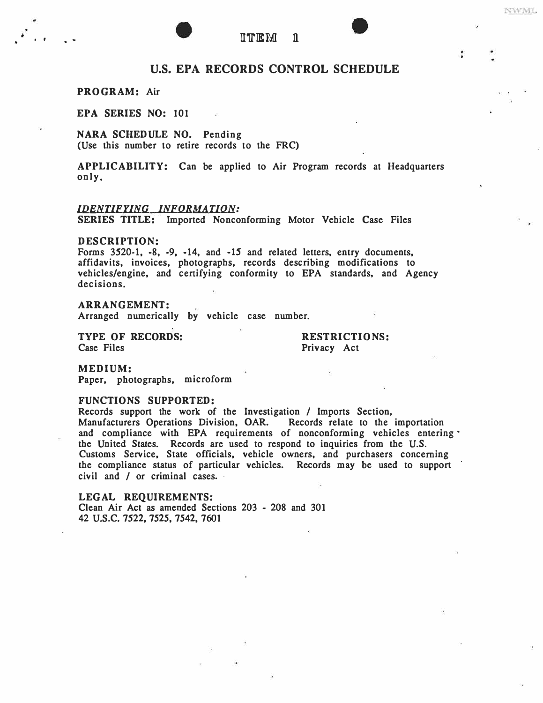## U.S. **EPA RECORDS CONTROL SCHEDULE**

### **PROGRAM: Air**

**EPA SERIES NO: 101** 

**NARA SCHEDULE NO. Pending (Use this number to retire records to the FRC)** 

APPLICABILITY: Can be applied to Air Program records at Headquarters **only.** 

#### *IDENTIFYING INFQRMA UON:*

**SERIES TITLE:** Imported Nonconforming Motor Vehicle Case Files

#### **DESCRIPTION:**

**Forms 3520-1, -8, -9, -14, and -IS and related letters, entry documents, affidavits, invoices, photographs, records describing modifications to vehicles/engine, and certifying conformity to EPA standards, and Agency decisions.** 

### **ARRANGEMENT:**

**Arranged numerically by vehicle case number.** 

**TYPE OF RECORDS:**<br>
Case Files<br> **Privacy** Act

Privacy Act

**NWML** 

**MEDIUM: Paper, photographs, microform** 

#### **FUNCTIONS SUPPORTED:**

**Records support the work of the Investigation / Imports Section, Manufacturers Operations Division, OAR. Records relate to the importation and compliance with EPA requirements of nonconforming vehicles entering the United States. Records are used to respond to inquiries from the U.S. Customs Service, State officials, vehicle owners, and purchasers concerning**  the compliance status of particular vehicles. Records may be used to support **civil and / or criminal cases. -**

**LEGAL REQUIREMENTS! Clean Air Act as amended Sections 203 • 208 and 301 42** u.s.c. **7522, 7525, 7542, 7601**